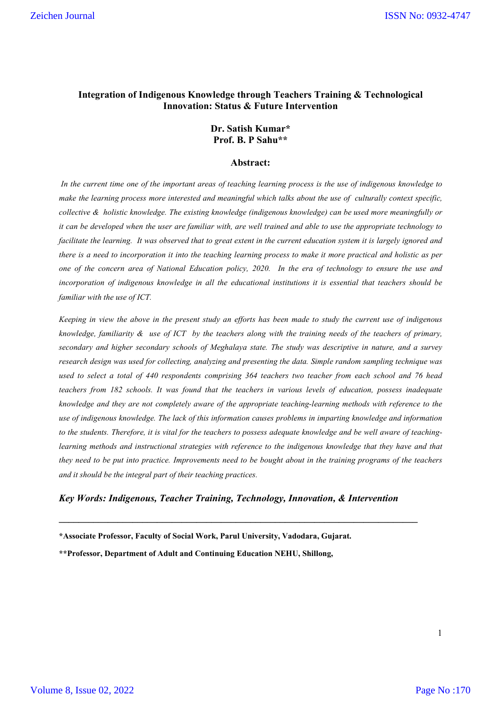# **Integration of Indigenous Knowledge through Teachers Training & Technological Innovation: Status & Future Intervention**

### **Dr. Satish Kumar\* Prof. B. P Sahu\*\***

#### **Abstract:**

*In the current time one of the important areas of teaching learning process is the use of indigenous knowledge to make the learning process more interested and meaningful which talks about the use of culturally context specific, collective & holistic knowledge. The existing knowledge (indigenous knowledge) can be used more meaningfully or it can be developed when the user are familiar with, are well trained and able to use the appropriate technology to facilitate the learning. It was observed that to great extent in the current education system it is largely ignored and there is a need to incorporation it into the teaching learning process to make it more practical and holistic as per one of the concern area of National Education policy, 2020. In the era of technology to ensure the use and incorporation of indigenous knowledge in all the educational institutions it is essential that teachers should be familiar with the use of ICT.*

*Keeping in view the above in the present study an efforts has been made to study the current use of indigenous knowledge, familiarity & use of ICT by the teachers along with the training needs of the teachers of primary, secondary and higher secondary schools of Meghalaya state. The study was descriptive in nature, and a survey research design was used for collecting, analyzing and presenting the data. Simple random sampling technique was used to select a total of 440 respondents comprising 364 teachers two teacher from each school and 76 head teachers from 182 schools. It was found that the teachers in various levels of education, possess inadequate knowledge and they are not completely aware of the appropriate teaching-learning methods with reference to the use of indigenous knowledge. The lack of this information causes problems in imparting knowledge and information to the students. Therefore, it is vital for the teachers to possess adequate knowledge and be well aware of teachinglearning methods and instructional strategies with reference to the indigenous knowledge that they have and that they need to be put into practice. Improvements need to be bought about in the training programs of the teachers and it should be the integral part of their teaching practices.*

#### *Key Words: Indigenous, Teacher Training, Technology, Innovation, & Intervention*

**\_\_\_\_\_\_\_\_\_\_\_\_\_\_\_\_\_\_\_\_\_\_\_\_\_\_\_\_\_\_\_\_\_\_\_\_\_\_\_\_\_\_\_\_\_\_\_\_\_\_\_\_\_\_\_\_\_\_\_\_\_\_\_\_\_\_\_\_\_\_\_\_\_**

**\*Associate Professor, Faculty of Social Work, Parul University, Vadodara, Gujarat.** 

**\*\*Professor, Department of Adult and Continuing Education NEHU, Shillong,**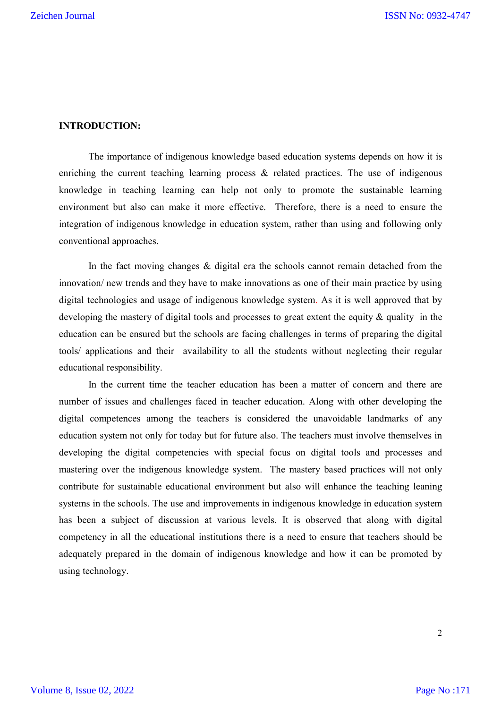### **INTRODUCTION:**

The importance of indigenous knowledge based education systems depends on how it is enriching the current teaching learning process & related practices. The use of indigenous knowledge in teaching learning can help not only to promote the sustainable learning environment but also can make it more effective. Therefore, there is a need to ensure the integration of indigenous knowledge in education system, rather than using and following only conventional approaches.

In the fact moving changes & digital era the schools cannot remain detached from the innovation/ new trends and they have to make innovations as one of their main practice by using digital technologies and usage of indigenous knowledge system. As it is well approved that by developing the mastery of digital tools and processes to great extent the equity & quality in the education can be ensured but the schools are facing challenges in terms of preparing the digital tools/ applications and their availability to all the students without neglecting their regular educational responsibility.

In the current time the teacher education has been a matter of concern and there are number of issues and challenges faced in teacher education. Along with other developing the digital competences among the teachers is considered the unavoidable landmarks of any education system not only for today but for future also. The teachers must involve themselves in developing the digital competencies with special focus on digital tools and processes and mastering over the indigenous knowledge system. The mastery based practices will not only contribute for sustainable educational environment but also will enhance the teaching leaning systems in the schools. The use and improvements in indigenous knowledge in education system has been a subject of discussion at various levels. It is observed that along with digital competency in all the educational institutions there is a need to ensure that teachers should be adequately prepared in the domain of indigenous knowledge and how it can be promoted by using technology.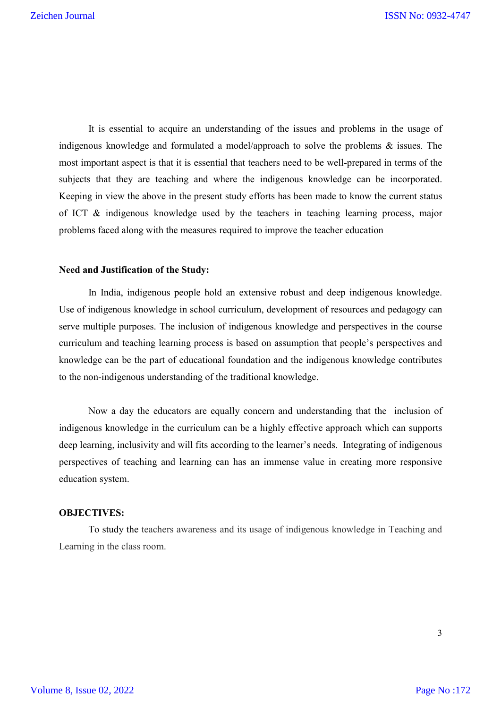It is essential to acquire an understanding of the issues and problems in the usage of indigenous knowledge and formulated a model/approach to solve the problems & issues. The most important aspect is that it is essential that teachers need to be well-prepared in terms of the subjects that they are teaching and where the indigenous knowledge can be incorporated. Keeping in view the above in the present study efforts has been made to know the current status of ICT & indigenous knowledge used by the teachers in teaching learning process, major problems faced along with the measures required to improve the teacher education

### **Need and Justification of the Study:**

In India, indigenous people hold an extensive robust and deep indigenous knowledge. Use of indigenous knowledge in school curriculum, development of resources and pedagogy can serve multiple purposes. The inclusion of indigenous knowledge and perspectives in the course curriculum and teaching learning process is based on assumption that people's perspectives and knowledge can be the part of educational foundation and the indigenous knowledge contributes to the non-indigenous understanding of the traditional knowledge.

Now a day the educators are equally concern and understanding that the inclusion of indigenous knowledge in the curriculum can be a highly effective approach which can supports deep learning, inclusivity and will fits according to the learner's needs. Integrating of indigenous perspectives of teaching and learning can has an immense value in creating more responsive education system.

# **OBJECTIVES:**

To study the teachers awareness and its usage of indigenous knowledge in Teaching and Learning in the class room.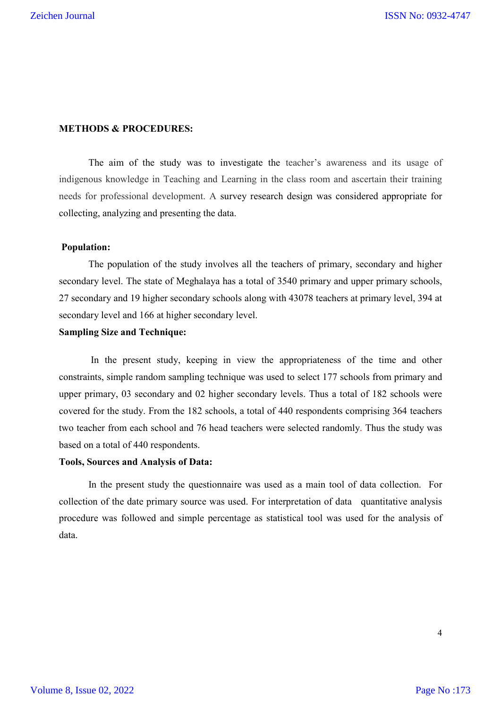# **METHODS & PROCEDURES:**

The aim of the study was to investigate the teacher's awareness and its usage of indigenous knowledge in Teaching and Learning in the class room and ascertain their training needs for professional development. A survey research design was considered appropriate for collecting, analyzing and presenting the data.

### **Population:**

The population of the study involves all the teachers of primary, secondary and higher secondary level. The state of Meghalaya has a total of 3540 primary and upper primary schools, 27 secondary and 19 higher secondary schools along with 43078 teachers at primary level, 394 at secondary level and 166 at higher secondary level.

### **Sampling Size and Technique:**

In the present study, keeping in view the appropriateness of the time and other constraints, simple random sampling technique was used to select 177 schools from primary and upper primary, 03 secondary and 02 higher secondary levels. Thus a total of 182 schools were covered for the study. From the 182 schools, a total of 440 respondents comprising 364 teachers two teacher from each school and 76 head teachers were selected randomly. Thus the study was based on a total of 440 respondents.

### **Tools, Sources and Analysis of Data:**

In the present study the questionnaire was used as a main tool of data collection. For collection of the date primary source was used. For interpretation of data quantitative analysis procedure was followed and simple percentage as statistical tool was used for the analysis of data.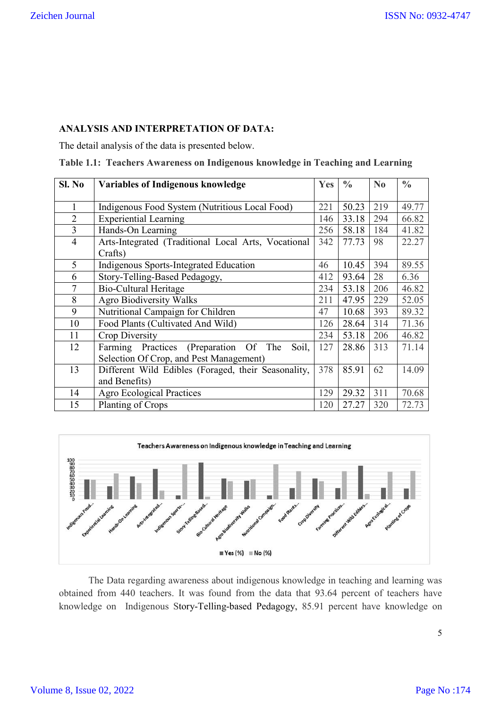# **ANALYSIS AND INTERPRETATION OF DATA:**

The detail analysis of the data is presented below.

|  | Table 1.1: Teachers Awareness on Indigenous knowledge in Teaching and Learning |  |  |  |  |
|--|--------------------------------------------------------------------------------|--|--|--|--|
|--|--------------------------------------------------------------------------------|--|--|--|--|

| SI. No         | <b>Variables of Indigenous knowledge</b>            | Yes | $\frac{0}{0}$ | No  | $\frac{0}{0}$ |
|----------------|-----------------------------------------------------|-----|---------------|-----|---------------|
|                |                                                     |     |               |     |               |
|                | Indigenous Food System (Nutritious Local Food)      | 221 | 50.23         | 219 | 49.77         |
| $\overline{2}$ | <b>Experiential Learning</b>                        | 146 | 33.18         | 294 | 66.82         |
| $\overline{3}$ | Hands-On Learning                                   | 256 | 58.18         | 184 | 41.82         |
| $\overline{4}$ | Arts-Integrated (Traditional Local Arts, Vocational | 342 | 77.73         | 98  | 22.27         |
|                | Crafts)                                             |     |               |     |               |
| 5              | Indigenous Sports-Integrated Education              | 46  | 10.45         | 394 | 89.55         |
| 6              | Story-Telling-Based Pedagogy,                       | 412 | 93.64         | 28  | 6.36          |
| 7              | Bio-Cultural Heritage                               | 234 | 53.18         | 206 | 46.82         |
| 8              | <b>Agro Biodiversity Walks</b>                      | 211 | 47.95         | 229 | 52.05         |
| 9              | Nutritional Campaign for Children                   | 47  | 10.68         | 393 | 89.32         |
| 10             | Food Plants (Cultivated And Wild)                   | 126 | 28.64         | 314 | 71.36         |
| 11             | Crop Diversity                                      | 234 | 53.18         | 206 | 46.82         |
| 12             | Farming Practices (Preparation Of The<br>Soil,      | 127 | 28.86         | 313 | 71.14         |
|                | Selection Of Crop, and Pest Management)             |     |               |     |               |
| 13             | Different Wild Edibles (Foraged, their Seasonality, | 378 | 85.91         | 62  | 14.09         |
|                | and Benefits)                                       |     |               |     |               |
| 14             | <b>Agro Ecological Practices</b>                    | 129 | 29.32         | 311 | 70.68         |
| 15             | Planting of Crops                                   | 120 | 27.27         | 320 | 72.73         |



The Data regarding awareness about indigenous knowledge in teaching and learning was obtained from 440 teachers. It was found from the data that 93.64 percent of teachers have knowledge on Indigenous Story-Telling-based Pedagogy, 85.91 percent have knowledge on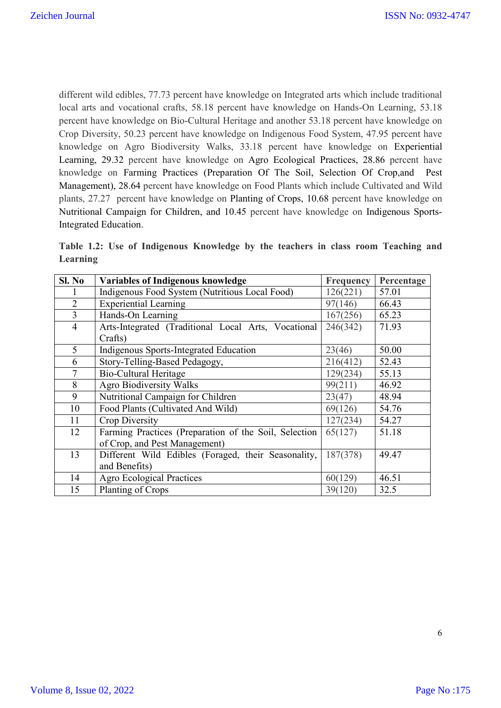different wild edibles, 77.73 percent have knowledge on Integrated arts which include traditional local arts and vocational crafts, 58.18 percent have knowledge on Hands-On Learning, 53.18 percent have knowledge on Bio-Cultural Heritage and another 53.18 percent have knowledge on Crop Diversity, 50.23 percent have knowledge on Indigenous Food System, 47.95 percent have knowledge on Agro Biodiversity Walks, 33.18 percent have knowledge on Experiential Learning, 29.32 percent have knowledge on Agro Ecological Practices, 28.86 percent have knowledge on Farming Practices (Preparation Of The Soil, Selection Of Crop,and Pest Management), 28.64 percent have knowledge on Food Plants which include Cultivated and Wild plants, 27.27 percent have knowledge on Planting of Crops, 10.68 percent have knowledge on Nutritional Campaign for Children, and 10.45 percent have knowledge on Indigenous Sports-Integrated Education.

**Table 1.2: Use of Indigenous Knowledge by the teachers in class room Teaching and Learning**

| Sl. No         | <b>Variables of Indigenous knowledge</b>              | <b>Frequency</b> | Percentage |
|----------------|-------------------------------------------------------|------------------|------------|
|                | Indigenous Food System (Nutritious Local Food)        | 126(221)         | 57.01      |
| $\overline{2}$ | <b>Experiential Learning</b>                          | 97(146)          | 66.43      |
| $\overline{3}$ | Hands-On Learning                                     | 167(256)         | 65.23      |
| $\overline{4}$ | Arts-Integrated (Traditional Local Arts, Vocational   | 246(342)         | 71.93      |
|                | Crafts)                                               |                  |            |
| 5              | Indigenous Sports-Integrated Education                | 23(46)           | 50.00      |
| 6              | Story-Telling-Based Pedagogy,                         | 216(412)         | 52.43      |
| 7              | <b>Bio-Cultural Heritage</b>                          | 129(234)         | 55.13      |
| 8              | <b>Agro Biodiversity Walks</b>                        | 99(211)          | 46.92      |
| 9              | Nutritional Campaign for Children                     | 23(47)           | 48.94      |
| 10             | Food Plants (Cultivated And Wild)                     | 69(126)          | 54.76      |
| 11             | Crop Diversity                                        | 127(234)         | 54.27      |
| 12             | Farming Practices (Preparation of the Soil, Selection | 65(127)          | 51.18      |
|                | of Crop, and Pest Management)                         |                  |            |
| 13             | Different Wild Edibles (Foraged, their Seasonality,   | 187(378)         | 49.47      |
|                | and Benefits)                                         |                  |            |
| 14             | <b>Agro Ecological Practices</b>                      | 60(129)          | 46.51      |
| 15             | Planting of Crops                                     | 39(120)          | 32.5       |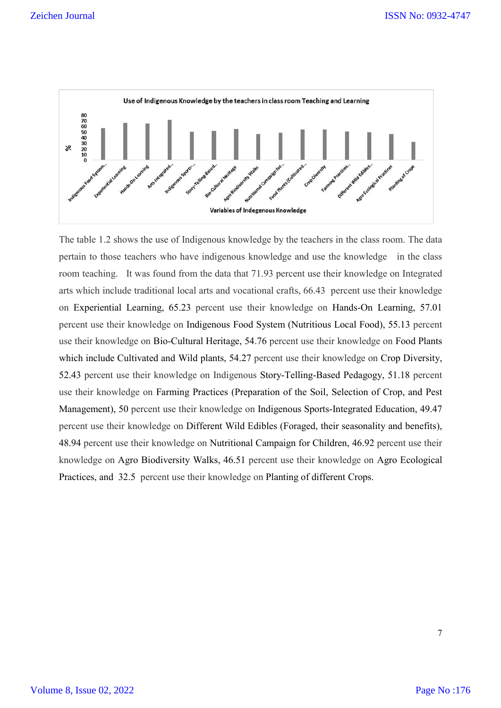

The table 1.2 shows the use of Indigenous knowledge by the teachers in the class room. The data pertain to those teachers who have indigenous knowledge and use the knowledge in the class room teaching. It was found from the data that 71.93 percent use their knowledge on Integrated arts which include traditional local arts and vocational crafts, 66.43 percent use their knowledge on Experiential Learning, 65.23 percent use their knowledge on Hands-On Learning, 57.01 percent use their knowledge on Indigenous Food System (Nutritious Local Food), 55.13 percent use their knowledge on Bio-Cultural Heritage, 54.76 percent use their knowledge on Food Plants which include Cultivated and Wild plants, 54.27 percent use their knowledge on Crop Diversity, 52.43 percent use their knowledge on Indigenous Story-Telling-Based Pedagogy, 51.18 percent use their knowledge on Farming Practices (Preparation of the Soil, Selection of Crop, and Pest Management), 50 percent use their knowledge on Indigenous Sports-Integrated Education, 49.47 percent use their knowledge on Different Wild Edibles (Foraged, their seasonality and benefits), 48.94 percent use their knowledge on Nutritional Campaign for Children, 46.92 percent use their knowledge on Agro Biodiversity Walks, 46.51 percent use their knowledge on Agro Ecological Practices, and 32.5 percent use their knowledge on Planting of different Crops.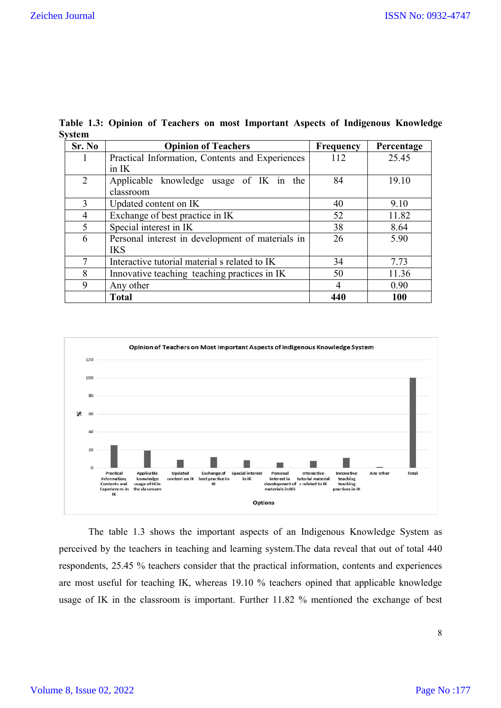| Sr. No         | <b>Opinion of Teachers</b>                       | <b>Frequency</b> | Percentage |
|----------------|--------------------------------------------------|------------------|------------|
|                | Practical Information, Contents and Experiences  | 112              | 25.45      |
|                | in IK                                            |                  |            |
| $\overline{2}$ | Applicable knowledge usage of IK in the          | 84               | 19.10      |
|                | classroom                                        |                  |            |
| 3              | Updated content on IK                            | 40               | 9.10       |
| 4              | Exchange of best practice in IK                  | 52               | 11.82      |
| 5              | Special interest in IK                           | 38               | 8.64       |
| 6              | Personal interest in development of materials in | 26               | 5.90       |
|                | <b>IKS</b>                                       |                  |            |
| 7              | Interactive tutorial material s related to IK    | 34               | 7.73       |
| 8              | Innovative teaching teaching practices in IK     | 50               | 11.36      |
| 9              | Any other                                        | 4                | 0.90       |
|                | <b>Total</b>                                     | 440              | 100        |

**Table 1.3: Opinion of Teachers on most Important Aspects of Indigenous Knowledge System** 



The table 1.3 shows the important aspects of an Indigenous Knowledge System as perceived by the teachers in teaching and learning system.The data reveal that out of total 440 respondents, 25.45 % teachers consider that the practical information, contents and experiences are most useful for teaching IK, whereas 19.10 % teachers opined that applicable knowledge usage of IK in the classroom is important. Further 11.82 % mentioned the exchange of best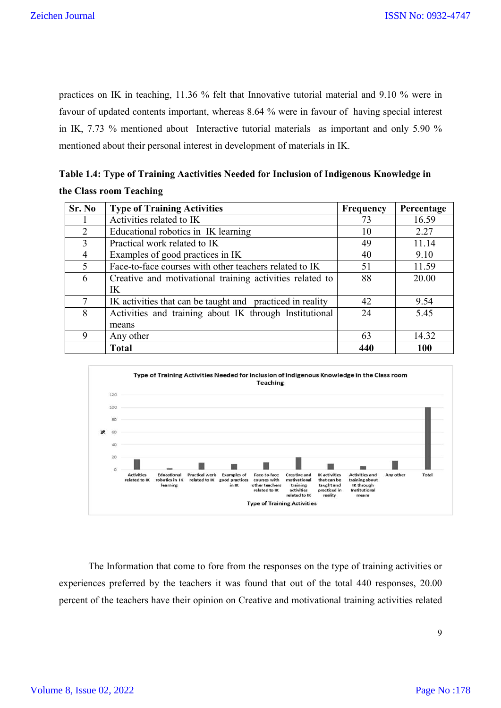practices on IK in teaching, 11.36 % felt that Innovative tutorial material and 9.10 % were in favour of updated contents important, whereas 8.64 % were in favour of having special interest in IK, 7.73 % mentioned about Interactive tutorial materials as important and only 5.90 % mentioned about their personal interest in development of materials in IK.

| Table 1.4: Type of Training Aactivities Needed for Inclusion of Indigenous Knowledge in |  |
|-----------------------------------------------------------------------------------------|--|
| the Class room Teaching                                                                 |  |

| Sr. No        | <b>Type of Training Activities</b>                        | Frequency | Percentage |
|---------------|-----------------------------------------------------------|-----------|------------|
|               | Activities related to IK                                  | 73        | 16.59      |
| 2             | Educational robotics in IK learning                       | 10        | 2.27       |
| $\mathcal{F}$ | Practical work related to IK                              | 49        | 11.14      |
| 4             | Examples of good practices in IK                          | 40        | 9.10       |
| 5             | Face-to-face courses with other teachers related to IK    | 51        | 11.59      |
| 6             | Creative and motivational training activities related to  | 88        | 20.00      |
|               | IK                                                        |           |            |
|               | IK activities that can be taught and practiced in reality | 42        | 9.54       |
| 8             | Activities and training about IK through Institutional    | 24        | 5.45       |
|               | means                                                     |           |            |
| 9             | Any other                                                 | 63        | 14.32      |
|               | <b>Total</b>                                              | 440       | <b>100</b> |



The Information that come to fore from the responses on the type of training activities or experiences preferred by the teachers it was found that out of the total 440 responses, 20.00 percent of the teachers have their opinion on Creative and motivational training activities related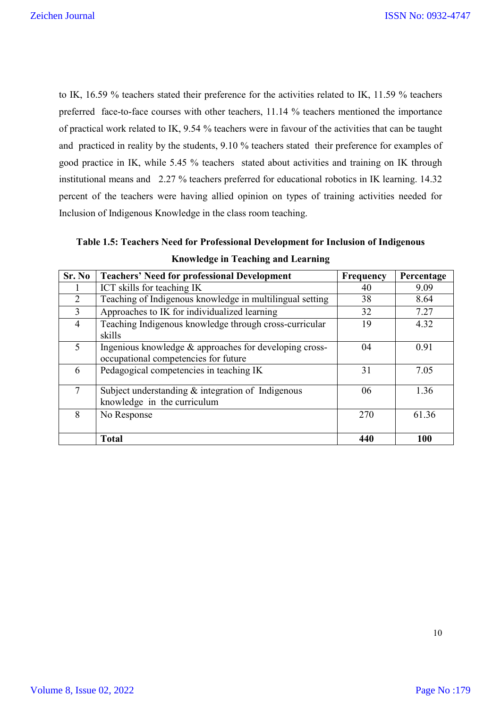to IK, 16.59 % teachers stated their preference for the activities related to IK, 11.59 % teachers preferred face-to-face courses with other teachers, 11.14 % teachers mentioned the importance of practical work related to IK, 9.54 % teachers were in favour of the activities that can be taught and practiced in reality by the students, 9.10 % teachers stated their preference for examples of good practice in IK, while 5.45 % teachers stated about activities and training on IK through institutional means and 2.27 % teachers preferred for educational robotics in IK learning. 14.32 percent of the teachers were having allied opinion on types of training activities needed for Inclusion of Indigenous Knowledge in the class room teaching.

**Table 1.5: Teachers Need for Professional Development for Inclusion of Indigenous Knowledge in Teaching and Learning**

| Sr. No         | <b>Teachers' Need for professional Development</b>                                             | Frequency | Percentage |
|----------------|------------------------------------------------------------------------------------------------|-----------|------------|
|                | ICT skills for teaching IK                                                                     | 40        | 9.09       |
| $\overline{2}$ | Teaching of Indigenous knowledge in multilingual setting                                       | 38        | 8.64       |
| 3              | Approaches to IK for individualized learning                                                   | 32        | 7.27       |
| $\overline{4}$ | Teaching Indigenous knowledge through cross-curricular<br>skills                               | 19        | 4.32       |
| 5              | Ingenious knowledge & approaches for developing cross-<br>occupational competencies for future | 04        | 0.91       |
| 6              | Pedagogical competencies in teaching IK                                                        | 31        | 7.05       |
| 7              | Subject understanding $\&$ integration of Indigenous<br>knowledge in the curriculum            | 06        | 1.36       |
| 8              | No Response                                                                                    | 270       | 61.36      |
|                | <b>Total</b>                                                                                   | 440       | 100        |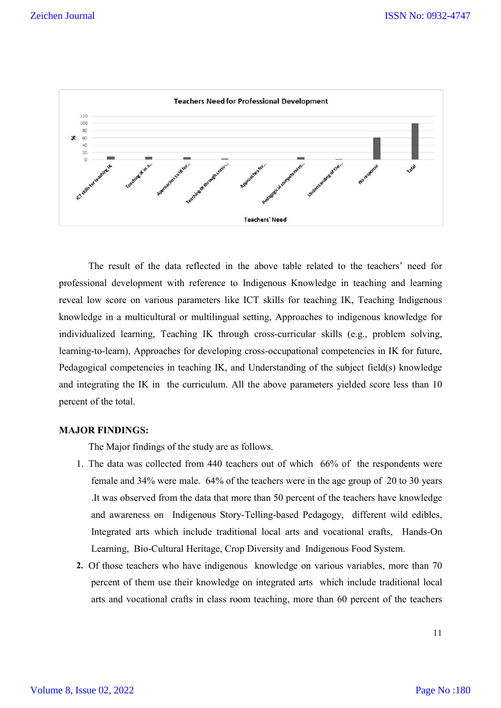

The result of the data reflected in the above table related to the teachers' need for professional development with reference to Indigenous Knowledge in teaching and learning reveal low score on various parameters like ICT skills for teaching IK, Teaching Indigenous knowledge in a multicultural or multilingual setting, Approaches to indigenous knowledge for individualized learning, Teaching IK through cross-curricular skills (e.g., problem solving, learning-to-learn), Approaches for developing cross-occupational competencies in IK for future, Pedagogical competencies in teaching IK, and Understanding of the subject field(s) knowledge and integrating the IK in the curriculum. All the above parameters yielded score less than 10 percent of the total.

# **MAJOR FINDINGS:**

The Major findings of the study are as follows.

- 1. The data was collected from 440 teachers out of which 66% of the respondents were female and 34% were male. 64% of the teachers were in the age group of 20 to 30 years .It was observed from the data that more than 50 percent of the teachers have knowledge and awareness on Indigenous Story-Telling-based Pedagogy, different wild edibles, Integrated arts which include traditional local arts and vocational crafts, Hands-On Learning, Bio-Cultural Heritage, Crop Diversity and Indigenous Food System.
- **2.** Of those teachers who have indigenous knowledge on various variables, more than 70 percent of them use their knowledge on integrated arts which include traditional local arts and vocational crafts in class room teaching, more than 60 percent of the teachers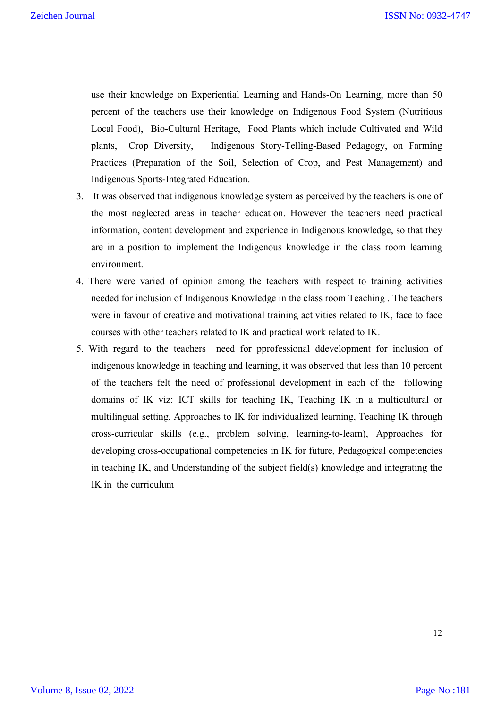use their knowledge on Experiential Learning and Hands-On Learning, more than 50 percent of the teachers use their knowledge on Indigenous Food System (Nutritious Local Food), Bio-Cultural Heritage, Food Plants which include Cultivated and Wild plants, Crop Diversity, Indigenous Story-Telling-Based Pedagogy, on Farming Practices (Preparation of the Soil, Selection of Crop, and Pest Management) and Indigenous Sports-Integrated Education.

- 3. It was observed that indigenous knowledge system as perceived by the teachers is one of the most neglected areas in teacher education. However the teachers need practical information, content development and experience in Indigenous knowledge, so that they are in a position to implement the Indigenous knowledge in the class room learning environment.
- 4. There were varied of opinion among the teachers with respect to training activities needed for inclusion of Indigenous Knowledge in the class room Teaching . The teachers were in favour of creative and motivational training activities related to IK, face to face courses with other teachers related to IK and practical work related to IK.
- 5. With regard to the teachers need for pprofessional ddevelopment for inclusion of indigenous knowledge in teaching and learning, it was observed that less than 10 percent of the teachers felt the need of professional development in each of the following domains of IK viz: ICT skills for teaching IK, Teaching IK in a multicultural or multilingual setting, Approaches to IK for individualized learning, Teaching IK through cross-curricular skills (e.g., problem solving, learning-to-learn), Approaches for developing cross-occupational competencies in IK for future, Pedagogical competencies in teaching IK, and Understanding of the subject field(s) knowledge and integrating the IK in the curriculum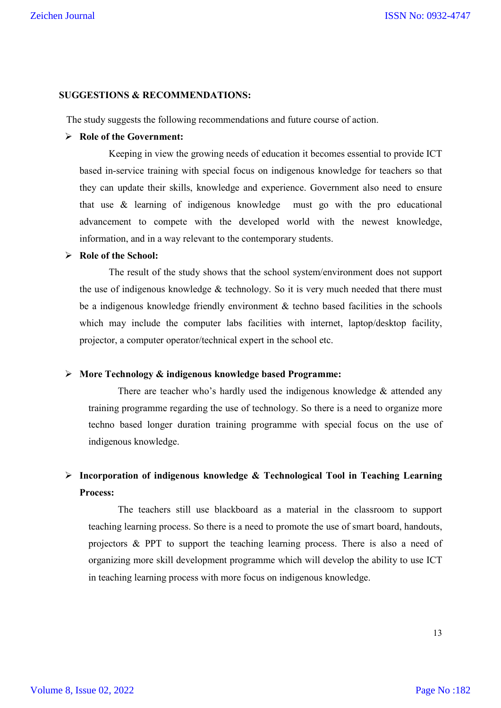### **SUGGESTIONS & RECOMMENDATIONS:**

The study suggests the following recommendations and future course of action.

# **Role of the Government:**

Keeping in view the growing needs of education it becomes essential to provide ICT based in-service training with special focus on indigenous knowledge for teachers so that they can update their skills, knowledge and experience. Government also need to ensure that use & learning of indigenous knowledge must go with the pro educational advancement to compete with the developed world with the newest knowledge, information, and in a way relevant to the contemporary students.

# **Role of the School:**

The result of the study shows that the school system/environment does not support the use of indigenous knowledge & technology. So it is very much needed that there must be a indigenous knowledge friendly environment & techno based facilities in the schools which may include the computer labs facilities with internet, laptop/desktop facility, projector, a computer operator/technical expert in the school etc.

# **More Technology & indigenous knowledge based Programme:**

There are teacher who's hardly used the indigenous knowledge  $\&$  attended any training programme regarding the use of technology. So there is a need to organize more techno based longer duration training programme with special focus on the use of indigenous knowledge.

# **Incorporation of indigenous knowledge & Technological Tool in Teaching Learning Process:**

The teachers still use blackboard as a material in the classroom to support teaching learning process. So there is a need to promote the use of smart board, handouts, projectors & PPT to support the teaching learning process. There is also a need of organizing more skill development programme which will develop the ability to use ICT in teaching learning process with more focus on indigenous knowledge.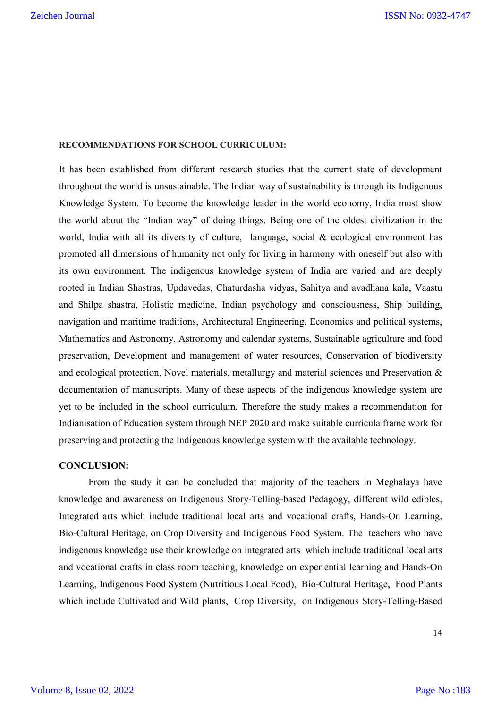### **RECOMMENDATIONS FOR SCHOOL CURRICULUM:**

It has been established from different research studies that the current state of development throughout the world is unsustainable. The Indian way of sustainability is through its Indigenous Knowledge System. To become the knowledge leader in the world economy, India must show the world about the "Indian way" of doing things. Being one of the oldest civilization in the world, India with all its diversity of culture, language, social & ecological environment has promoted all dimensions of humanity not only for living in harmony with oneself but also with its own environment. The indigenous knowledge system of India are varied and are deeply rooted in Indian Shastras, Updavedas, Chaturdasha vidyas, Sahitya and avadhana kala, Vaastu and Shilpa shastra, Holistic medicine, Indian psychology and consciousness, Ship building, navigation and maritime traditions, Architectural Engineering, Economics and political systems, Mathematics and Astronomy, Astronomy and calendar systems, Sustainable agriculture and food preservation, Development and management of water resources, Conservation of biodiversity and ecological protection, Novel materials, metallurgy and material sciences and Preservation & documentation of manuscripts. Many of these aspects of the indigenous knowledge system are yet to be included in the school curriculum. Therefore the study makes a recommendation for Indianisation of Education system through NEP 2020 and make suitable curricula frame work for preserving and protecting the Indigenous knowledge system with the available technology.

### **CONCLUSION:**

From the study it can be concluded that majority of the teachers in Meghalaya have knowledge and awareness on Indigenous Story-Telling-based Pedagogy, different wild edibles, Integrated arts which include traditional local arts and vocational crafts, Hands-On Learning, Bio-Cultural Heritage, on Crop Diversity and Indigenous Food System. The teachers who have indigenous knowledge use their knowledge on integrated arts which include traditional local arts and vocational crafts in class room teaching, knowledge on experiential learning and Hands-On Learning, Indigenous Food System (Nutritious Local Food), Bio-Cultural Heritage, Food Plants which include Cultivated and Wild plants, Crop Diversity, on Indigenous Story-Telling-Based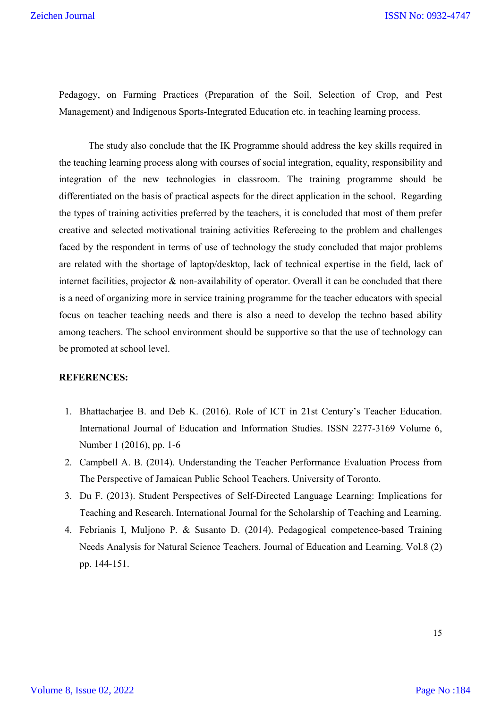Pedagogy, on Farming Practices (Preparation of the Soil, Selection of Crop, and Pest Management) and Indigenous Sports-Integrated Education etc. in teaching learning process.

The study also conclude that the IK Programme should address the key skills required in the teaching learning process along with courses of social integration, equality, responsibility and integration of the new technologies in classroom. The training programme should be differentiated on the basis of practical aspects for the direct application in the school. Regarding the types of training activities preferred by the teachers, it is concluded that most of them prefer creative and selected motivational training activities Refereeing to the problem and challenges faced by the respondent in terms of use of technology the study concluded that major problems are related with the shortage of laptop/desktop, lack of technical expertise in the field, lack of internet facilities, projector  $\&$  non-availability of operator. Overall it can be concluded that there is a need of organizing more in service training programme for the teacher educators with special focus on teacher teaching needs and there is also a need to develop the techno based ability among teachers. The school environment should be supportive so that the use of technology can be promoted at school level.

### **REFERENCES:**

- 1. Bhattacharjee B. and Deb K. (2016). Role of ICT in 21st Century's Teacher Education. International Journal of Education and Information Studies. ISSN 2277-3169 Volume 6, Number 1 (2016), pp. 1-6
- 2. Campbell A. B. (2014). Understanding the Teacher Performance Evaluation Process from The Perspective of Jamaican Public School Teachers. University of Toronto.
- 3. Du F. (2013). Student Perspectives of Self-Directed Language Learning: Implications for Teaching and Research. International Journal for the Scholarship of Teaching and Learning.
- 4. Febrianis I, Muljono P. & Susanto D. (2014). Pedagogical competence-based Training Needs Analysis for Natural Science Teachers. Journal of Education and Learning. Vol.8 (2) pp. 144-151.